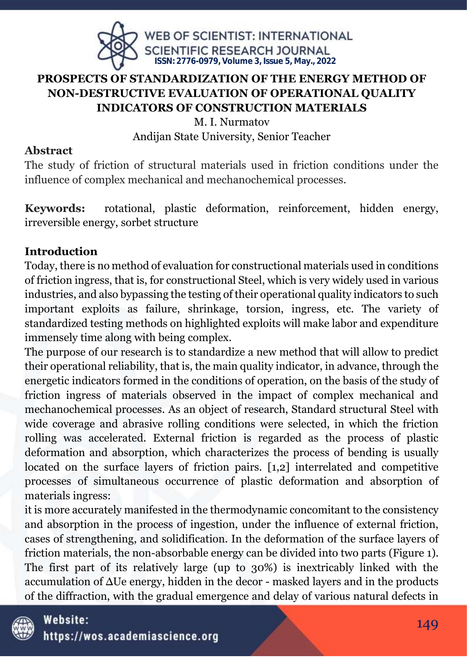

## **PROSPECTS OF STANDARDIZATION OF THE ENERGY METHOD OF NON-DESTRUCTIVE EVALUATION OF OPERATIONAL QUALITY INDICATORS OF CONSTRUCTION MATERIALS**

M. I. Nurmatov Andijan State University, Senior Teacher

## **Abstract**

The study of friction of structural materials used in friction conditions under the influence of complex mechanical and mechanochemical processes.

**Keywords:** rotational, plastic deformation, reinforcement, hidden energy, irreversible energy, sorbet structure

## **Introduction**

Today, there is no method of evaluation for constructional materials used in conditions of friction ingress, that is, for constructional Steel, which is very widely used in various industries, and also bypassing the testing of their operational quality indicators to such important exploits as failure, shrinkage, torsion, ingress, etc. The variety of standardized testing methods on highlighted exploits will make labor and expenditure immensely time along with being complex.

The purpose of our research is to standardize a new method that will allow to predict their operational reliability, that is, the main quality indicator, in advance, through the energetic indicators formed in the conditions of operation, on the basis of the study of friction ingress of materials observed in the impact of complex mechanical and mechanochemical processes. As an object of research, Standard structural Steel with wide coverage and abrasive rolling conditions were selected, in which the friction rolling was accelerated. External friction is regarded as the process of plastic deformation and absorption, which characterizes the process of bending is usually located on the surface layers of friction pairs. [1,2] interrelated and competitive processes of simultaneous occurrence of plastic deformation and absorption of materials ingress:

it is more accurately manifested in the thermodynamic concomitant to the consistency and absorption in the process of ingestion, under the influence of external friction, cases of strengthening, and solidification. In the deformation of the surface layers of friction materials, the non-absorbable energy can be divided into two parts (Figure 1). The first part of its relatively large (up to 30%) is inextricably linked with the accumulation of ΔUe energy, hidden in the decor - masked layers and in the products of the diffraction, with the gradual emergence and delay of various natural defects in

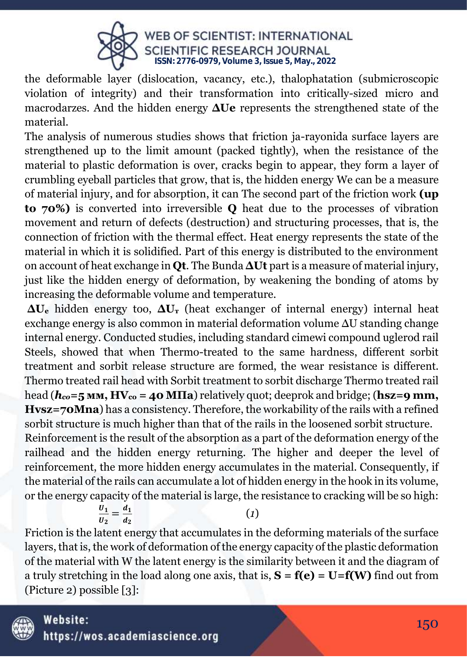

the deformable layer (dislocation, vacancy, etc.), thalophatation (submicroscopic violation of integrity) and their transformation into critically-sized micro and macrodarzes. And the hidden energy **ΔUe** represents the strengthened state of the material.

The analysis of numerous studies shows that friction ja-rayonida surface layers are strengthened up to the limit amount (packed tightly), when the resistance of the material to plastic deformation is over, cracks begin to appear, they form a layer of crumbling eyeball particles that grow, that is, the hidden energy We can be a measure of material injury, and for absorption, it can The second part of the friction work **(up to 70%)** is converted into irreversible **Q** heat due to the processes of vibration movement and return of defects (destruction) and structuring processes, that is, the connection of friction with the thermal effect. Heat energy represents the state of the material in which it is solidified. Part of this energy is distributed to the environment on account of heat exchange in **Qt**. The Bunda **ΔUt** part is a measure of material injury, just like the hidden energy of deformation, by weakening the bonding of atoms by increasing the deformable volume and temperature.

**ΔU<sup>e</sup>** hidden energy too, **ΔU<sup>т</sup>** (heat exchanger of internal energy) internal heat exchange energy is also common in material deformation volume ΔU standing change internal energy. Conducted studies, including standard cimewi compound uglerod rail Steels, showed that when Thermo-treated to the same hardness, different sorbit treatment and sorbit release structure are formed, the wear resistance is different. Thermo treated rail head with Sorbit treatment to sorbit discharge Thermo treated rail head (*hco***=5 мм, HVco = 40 МПа**) relatively quot; deeprok and bridge; (**hsz=9 mm, Hvsz=70Mna**) has a consistency. Therefore, the workability of the rails with a refined sorbit structure is much higher than that of the rails in the loosened sorbit structure. Reinforcement is the result of the absorption as a part of the deformation energy of the

railhead and the hidden energy returning. The higher and deeper the level of reinforcement, the more hidden energy accumulates in the material. Consequently, if the material of the rails can accumulate a lot of hidden energy in the hook in its volume, or the energy capacity of the material is large, the resistance to cracking will be so high:

$$
\frac{U_1}{U_2} = \frac{d_1}{d_2} \tag{1}
$$

Friction is the latent energy that accumulates in the deforming materials of the surface layers, that is, the work of deformation of the energy capacity of the plastic deformation of the material with W the latent energy is the similarity between it and the diagram of a truly stretching in the load along one axis, that is,  $S = f(e) = U = f(W)$  find out from (Picture 2) possible [3]:

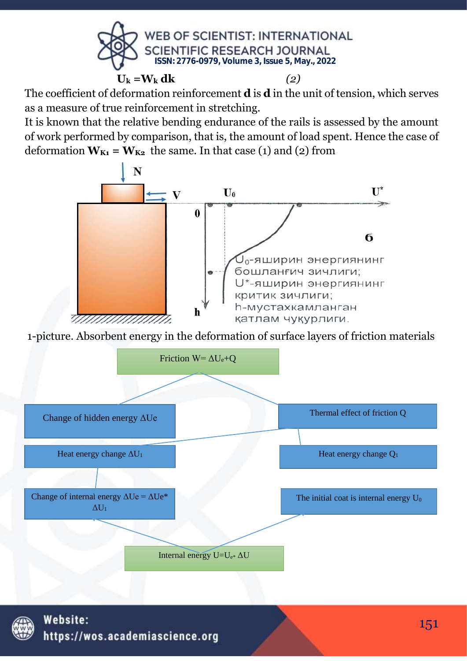

The coefficient of deformation reinforcement **d** is **d** in the unit of tension, which serves as a measure of true reinforcement in stretching.

It is known that the relative bending endurance of the rails is assessed by the amount of work performed by comparison, that is, the amount of load spent. Hence the case of deformation  $W_{K1} = W_{K2}$  the same. In that case (1) and (2) from



1-picture. Absorbent energy in the deformation of surface layers of friction materials